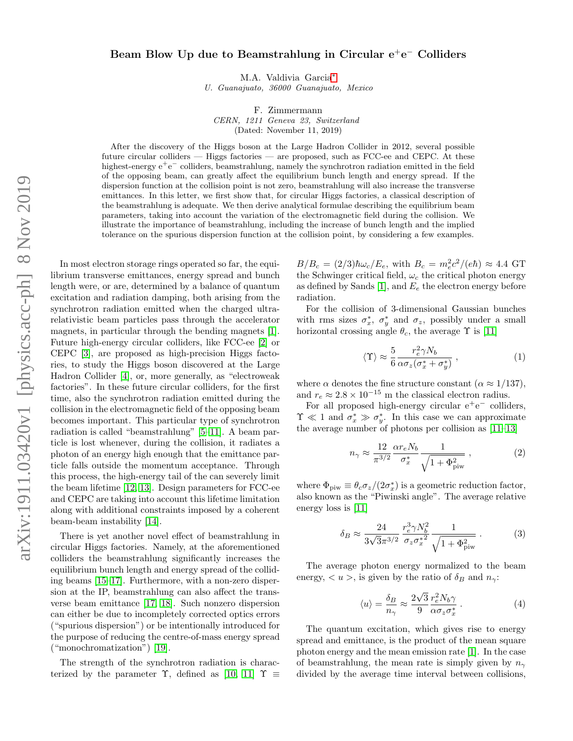## Beam Blow Up due to Beamstrahlung in Circular e<sup>+</sup>e<sup>-</sup> Colliders

M.A. Valdivia Garcia[∗](#page-3-0)

U. Guanajuato, 36000 Guanajuato, Mexico

F. Zimmermann

CERN, 1211 Geneva 23, Switzerland (Dated: November 11, 2019)

After the discovery of the Higgs boson at the Large Hadron Collider in 2012, several possible future circular colliders — Higgs factories — are proposed, such as FCC-ee and CEPC. At these highest-energy e<sup>+</sup>e<sup>−</sup> colliders, beamstrahlung, namely the synchrotron radiation emitted in the field of the opposing beam, can greatly affect the equilibrium bunch length and energy spread. If the dispersion function at the collision point is not zero, beamstrahlung will also increase the transverse emittances. In this letter, we first show that, for circular Higgs factories, a classical description of the beamstrahlung is adequate. We then derive analytical formulae describing the equilibrium beam parameters, taking into account the variation of the electromagnetic field during the collision. We illustrate the importance of beamstrahlung, including the increase of bunch length and the implied tolerance on the spurious dispersion function at the collision point, by considering a few examples.

In most electron storage rings operated so far, the equilibrium transverse emittances, energy spread and bunch length were, or are, determined by a balance of quantum excitation and radiation damping, both arising from the synchrotron radiation emitted when the charged ultrarelativistic beam particles pass through the accelerator magnets, in particular through the bending magnets [\[1\]](#page-3-1). Future high-energy circular colliders, like FCC-ee [\[2\]](#page-3-2) or CEPC [\[3\]](#page-3-3), are proposed as high-precision Higgs factories, to study the Higgs boson discovered at the Large Hadron Collider [\[4\]](#page-3-4), or, more generally, as "electroweak factories". In these future circular colliders, for the first time, also the synchrotron radiation emitted during the collision in the electromagnetic field of the opposing beam becomes important. This particular type of synchrotron radiation is called "beamstrahlung" [\[5](#page-3-5)[–11\]](#page-4-0). A beam particle is lost whenever, during the collision, it radiates a photon of an energy high enough that the emittance particle falls outside the momentum acceptance. Through this process, the high-energy tail of the can severely limit the beam lifetime [\[12,](#page-4-1) [13\]](#page-4-2). Design parameters for FCC-ee and CEPC are taking into account this lifetime limitation along with additional constraints imposed by a coherent beam-beam instability [\[14\]](#page-4-3).

There is yet another novel effect of beamstrahlung in circular Higgs factories. Namely, at the aforementioned colliders the beamstrahlung significantly increases the equilibrium bunch length and energy spread of the colliding beams [\[15–](#page-4-4)[17\]](#page-4-5). Furthermore, with a non-zero dispersion at the IP, beamstrahlung can also affect the transverse beam emittance [\[17,](#page-4-5) [18\]](#page-4-6). Such nonzero dispersion can either be due to incompletely corrected optics errors ("spurious dispersion") or be intentionally introduced for the purpose of reducing the centre-of-mass energy spread ("monochromatization") [\[19\]](#page-4-7).

The strength of the synchrotron radiation is characterized by the parameter  $\Upsilon$ , defined as [\[10,](#page-4-8) [11\]](#page-4-0)  $\Upsilon \equiv$ 

 $B/B_c = (2/3)\hbar\omega_c/E_e$ , with  $B_c = m_e^2 c^2/(e\hbar) \approx 4.4$  GT the Schwinger critical field,  $\omega_c$  the critical photon energy as defined by Sands [\[1\]](#page-3-1), and  $E_e$  the electron energy before radiation.

For the collision of 3-dimensional Gaussian bunches with rms sizes  $\sigma_x^*$ ,  $\sigma_y^*$  and  $\sigma_z$ , possibly under a small horizontal crossing angle  $\theta_c$ , the average  $\Upsilon$  is [\[11\]](#page-4-0)

$$
\langle \Upsilon \rangle \approx \frac{5}{6} \frac{r_e^2 \gamma N_b}{\alpha \sigma_z (\sigma_x^* + \sigma_y^*)} \,, \tag{1}
$$

where  $\alpha$  denotes the fine structure constant  $(\alpha \approx 1/137)$ , and  $r_e \approx 2.8 \times 10^{-15}$  m the classical electron radius.

For all proposed high-energy circular  $e^+e^-$  colliders,  $\Upsilon \ll 1$  and  $\sigma_x^* \gg \sigma_y^*$ . In this case we can approximate the average number of photons per collision as [\[11–](#page-4-0)[13\]](#page-4-2)

$$
n_{\gamma} \approx \frac{12}{\pi^{3/2}} \frac{\alpha r_e N_b}{\sigma_x^*} \frac{1}{\sqrt{1 + \Phi_{\text{piw}}^2}} , \qquad (2)
$$

where  $\Phi_{\text{piw}} \equiv \theta_c \sigma_z / (2\sigma_x^*)$  is a geometric reduction factor, also known as the "Piwinski angle". The average relative energy loss is [\[11\]](#page-4-0)

$$
\delta_B \approx \frac{24}{3\sqrt{3}\pi^{3/2}} \frac{r_e^3 \gamma N_b^2}{\sigma_z \sigma_x^{*2}} \frac{1}{\sqrt{1 + \Phi_{\text{piv}}^2}} \,. \tag{3}
$$

The average photon energy normalized to the beam energy,  $\langle u \rangle$ , is given by the ratio of  $\delta_B$  and  $n_{\gamma}$ :

$$
\langle u \rangle = \frac{\delta_B}{n_\gamma} \approx \frac{2\sqrt{3}}{9} \frac{r_e^2 N_b \gamma}{\alpha \sigma_z \sigma_x^*} \,. \tag{4}
$$

The quantum excitation, which gives rise to energy spread and emittance, is the product of the mean square photon energy and the mean emission rate [\[1\]](#page-3-1). In the case of beamstrahlung, the mean rate is simply given by  $n_{\gamma}$ divided by the average time interval between collisions,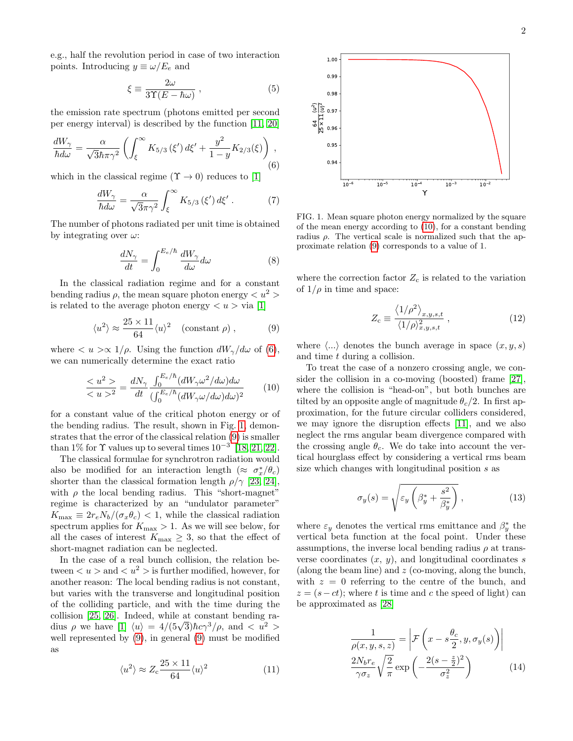e.g., half the revolution period in case of two interaction points. Introducing  $y \equiv \omega/E_e$  and

$$
\xi \equiv \frac{2\omega}{3\Upsilon(E - \hbar\omega)}\,,\tag{5}
$$

the emission rate spectrum (photons emitted per second per energy interval) is described by the function [\[11,](#page-4-0) [20\]](#page-4-9)

<span id="page-1-0"></span>
$$
\frac{dW_{\gamma}}{\hbar d\omega} = \frac{\alpha}{\sqrt{3}\hbar \pi \gamma^2} \left( \int_{\xi}^{\infty} K_{5/3}(\xi') d\xi' + \frac{y^2}{1 - y} K_{2/3}(\xi) \right),\tag{6}
$$

which in the classical regime ( $\Upsilon \rightarrow 0$ ) reduces to [\[1\]](#page-3-1)

$$
\frac{dW_{\gamma}}{\hbar d\omega} = \frac{\alpha}{\sqrt{3}\pi\gamma^2} \int_{\xi}^{\infty} K_{5/3}(\xi') d\xi' . \tag{7}
$$

The number of photons radiated per unit time is obtained by integrating over  $\omega$ :

$$
\frac{dN_{\gamma}}{dt} = \int_{0}^{E_e/\hbar} \frac{dW_{\gamma}}{d\omega} d\omega \tag{8}
$$

In the classical radiation regime and for a constant bending radius  $\rho$ , the mean square photon energy  $\langle u^2 \rangle$ is related to the average photon energy  $\langle u \rangle$  via [\[1\]](#page-3-1)

<span id="page-1-2"></span>
$$
\langle u^2 \rangle \approx \frac{25 \times 11}{64} \langle u \rangle^2 \quad \text{(constant } \rho \text{)}, \tag{9}
$$

where  $\langle u \rangle \propto 1/\rho$ . Using the function  $dW_{\gamma}/d\omega$  of [\(6\)](#page-1-0), we can numerically determine the exact ratio

<span id="page-1-3"></span>
$$
\frac{< u^2>}{< u>^2} = \frac{dN_{\gamma}}{dt} \frac{\int_0^{E_e/\hbar} (dW_{\gamma}\omega^2/d\omega)d\omega}{\left(\int_0^{E_e/\hbar} (dW_{\gamma}\omega/d\omega)d\omega\right)^2} \tag{10}
$$

for a constant value of the critical photon energy or of the bending radius. The result, shown in Fig. [1,](#page-1-1) demonstrates that the error of the classical relation [\(9\)](#page-1-2) is smaller than 1% for  $\Upsilon$  values up to several times  $10^{-3}$  [\[18,](#page-4-6) [21,](#page-4-10) [22\]](#page-4-11).

The classical formulae for synchrotron radiation would also be modified for an interaction length  $(\approx \sigma_x^*/\theta_c)$ shorter than the classical formation length  $\rho/\gamma$  [\[23,](#page-4-12) [24\]](#page-4-13), with  $\rho$  the local bending radius. This "short-magnet" regime is characterized by an "undulator parameter"  $K_{\text{max}} \equiv 2r_e N_b/(\sigma_x \theta_c) < 1$ , while the classical radiation spectrum applies for  $K_{\text{max}} > 1$ . As we will see below, for all the cases of interest  $K_{\text{max}} \geq 3$ , so that the effect of short-magnet radiation can be neglected.

In the case of a real bunch collision, the relation between  $\langle u \rangle$  and  $\langle u^2 \rangle$  is further modified, however, for another reason: The local bending radius is not constant, but varies with the transverse and longitudinal position of the colliding particle, and with the time during the collision [\[25,](#page-4-14) [26\]](#page-4-15). Indeed, while at constant bending racomsion [25, 26]. Indeed, while at constant behands radius  $\rho$  we have  $[1] \langle u \rangle = 4/(5\sqrt{3})\hbar c \gamma^3/\rho$  $[1] \langle u \rangle = 4/(5\sqrt{3})\hbar c \gamma^3/\rho$ , and  $\langle u^2 \rangle$ well represented by [\(9\)](#page-1-2), in general [\(9\)](#page-1-2) must be modified as

$$
\langle u^2 \rangle \approx Z_c \frac{25 \times 11}{64} \langle u \rangle^2 \tag{11}
$$



<span id="page-1-1"></span>FIG. 1. Mean square photon energy normalized by the square of the mean energy according to [\(10\)](#page-1-3), for a constant bending radius  $\rho$ . The vertical scale is normalized such that the approximate relation [\(9\)](#page-1-2) corresponds to a value of 1.

where the correction factor  $Z_c$  is related to the variation of  $1/\rho$  in time and space:

<span id="page-1-5"></span>
$$
Z_{\rm c} \equiv \frac{\langle 1/\rho^2 \rangle_{x,y,s,t}}{\langle 1/\rho \rangle_{x,y,s,t}^2} \,, \tag{12}
$$

where  $\langle ... \rangle$  denotes the bunch average in space  $(x, y, s)$ and time t during a collision.

To treat the case of a nonzero crossing angle, we consider the collision in a co-moving (boosted) frame [\[27\]](#page-4-16), where the collision is "head-on", but both bunches are tilted by an opposite angle of magnitude  $\theta_c/2$ . In first approximation, for the future circular colliders considered, we may ignore the disruption effects [\[11\]](#page-4-0), and we also neglect the rms angular beam divergence compared with the crossing angle  $\theta_c$ . We do take into account the vertical hourglass effect by considering a vertical rms beam size which changes with longitudinal position s as

$$
\sigma_y(s) = \sqrt{\varepsilon_y \left(\beta_y^* + \frac{s^2}{\beta_y^*}\right)},\tag{13}
$$

where  $\varepsilon_y$  denotes the vertical rms emittance and  $\beta_y^*$  the vertical beta function at the focal point. Under these assumptions, the inverse local bending radius  $\rho$  at transverse coordinates  $(x, y)$ , and longitudinal coordinates s (along the beam line) and z (co-moving, along the bunch, with  $z = 0$  referring to the centre of the bunch, and  $z = (s - ct)$ ; where t is time and c the speed of light) can be approximated as [\[28\]](#page-4-17)

<span id="page-1-4"></span>
$$
\frac{1}{\rho(x, y, s, z)} = \left| \mathcal{F}\left(x - s\frac{\theta_c}{2}, y, \sigma_y(s)\right) \right|
$$

$$
\frac{2N_b r_e}{\gamma \sigma_z} \sqrt{\frac{2}{\pi}} \exp\left(-\frac{2(s - \frac{z}{2})^2}{\sigma_z^2}\right)
$$
(14)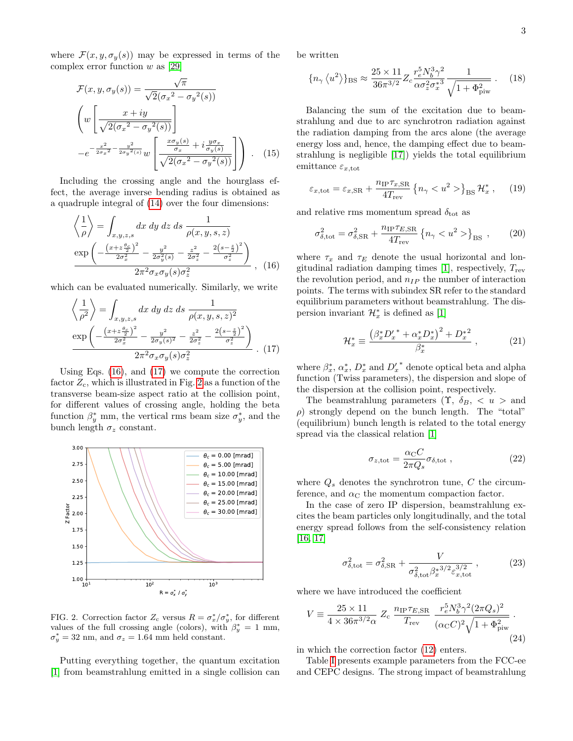where  $\mathcal{F}(x, y, \sigma_y(s))$  may be expressed in terms of the complex error function  $w$  as [\[29\]](#page-4-18)

$$
\mathcal{F}(x, y, \sigma_y(s)) = \frac{\sqrt{\pi}}{\sqrt{2}(\sigma_x^2 - \sigma_y^2(s))}
$$
\n
$$
\left(w\left[\frac{x+iy}{\sqrt{2(\sigma_x^2 - \sigma_y^2(s))}}\right]\right]
$$
\n
$$
-e^{-\frac{x^2}{2\sigma_x^2} - \frac{y^2}{2\sigma_y^2(s)}}w\left[\frac{\frac{x\sigma_y(s)}{\sigma_x} + i\frac{y\sigma_x}{\sigma_y(s)}}{\sqrt{2(\sigma_x^2 - \sigma_y^2(s))}}\right]\right).
$$
\n(15)

Including the crossing angle and the hourglass effect, the average inverse bending radius is obtained as a quadruple integral of [\(14\)](#page-1-4) over the four dimensions:

<span id="page-2-0"></span>
$$
\left\langle \frac{1}{\rho} \right\rangle = \int_{x,y,z,s} dx \, dy \, dz \, ds \, \frac{1}{\rho(x,y,s,z)} \n\exp\left(-\frac{(x+z\frac{\theta_c}{2})^2}{2\sigma_x^2} - \frac{y^2}{2\sigma_y^2(s)} - \frac{z^2}{2\sigma_z^2} - \frac{2(s-\frac{z}{2})^2}{\sigma_z^2}\right) \n2\pi^2 \sigma_x \sigma_y(s)\sigma_z^2
$$
\n(16)

which can be evaluated numerically. Similarly, we write

<span id="page-2-1"></span>
$$
\left\langle \frac{1}{\rho^2} \right\rangle = \int_{x,y,z,s} dx \, dy \, dz \, ds \, \frac{1}{\rho(x,y,s,z)^2}
$$
\n
$$
\frac{\exp\left(-\frac{\left(x+z\frac{\theta_c}{2}\right)^2}{2\sigma_x^2} - \frac{y^2}{2\sigma_y(s)^2} - \frac{z^2}{2\sigma_z^2} - \frac{2(s-\frac{z}{2})^2}{\sigma_z^2}\right)}{2\pi^2 \sigma_x \sigma_y(s)\sigma_z^2} \, . \tag{17}
$$

Using Eqs. [\(16\)](#page-2-0), and [\(17\)](#page-2-1) we compute the correction factor  $Z_c$ , which is illustrated in Fig. [2](#page-2-2) as a function of the transverse beam-size aspect ratio at the collision point, for different values of crossing angle, holding the beta function  $\beta_y^*$  mm, the vertical rms beam size  $\sigma_y^*$ , and the bunch length  $\sigma_z$  constant.



<span id="page-2-2"></span>FIG. 2. Correction factor  $Z_c$  versus  $R = \sigma_x^*/\sigma_y^*$ , for different values of the full crossing angle (colors), with  $\beta_y^* = 1$  mm,  $\sigma_y^* = 32$  nm, and  $\sigma_z = 1.64$  mm held constant.

Putting everything together, the quantum excitation [\[1\]](#page-3-1) from beamstrahlung emitted in a single collision can be written

$$
\{n_{\gamma} \langle u^2 \rangle \}_{\text{BS}} \approx \frac{25 \times 11}{36\pi^{3/2}} Z_c \frac{r_e^5 N_b^3 \gamma^2}{\alpha \sigma_z^2 \sigma_x^{*3}} \frac{1}{\sqrt{1 + \Phi_{\text{piw}}^2}} \,. \tag{18}
$$

Balancing the sum of the excitation due to beamstrahlung and due to arc synchrotron radiation against the radiation damping from the arcs alone (the average energy loss and, hence, the damping effect due to beamstrahlung is negligible [\[17\]](#page-4-5)) yields the total equilibrium emittance  $\varepsilon_{x,\text{tot}}$ 

$$
\varepsilon_{x,\text{tot}} = \varepsilon_{x,\text{SR}} + \frac{n_{\text{IP}} \tau_{x,\text{SR}}}{4 T_{\text{rev}}} \left\{ n_{\gamma} < u^2 > \right\}_{\text{BS}} \mathcal{H}_x^*, \quad (19)
$$

and relative rms momentum spread  $\delta_{\text{tot}}$  as

$$
\sigma_{\delta, \text{tot}}^2 = \sigma_{\delta, \text{SR}}^2 + \frac{n_{\text{IP}} \tau_{E, \text{SR}}}{4 T_{\text{rev}}} \left\{ n_{\gamma} < u^2 > \right\}_{\text{BS}} ,\qquad (20)
$$

where  $\tau_x$  and  $\tau_E$  denote the usual horizontal and lon-gitudinal radiation damping times [\[1\]](#page-3-1), respectively,  $T_{\text{rev}}$ the revolution period, and  $n_{IP}$  the number of interaction points. The terms with subindex SR refer to the standard equilibrium parameters without beamstrahlung. The dispersion invariant  $\mathcal{H}_x^*$  is defined as [\[1\]](#page-3-1)

$$
\mathcal{H}_x^* \equiv \frac{\left(\beta_x^* D_x^{\prime*} + \alpha_x^* D_x^*\right)^2 + D_x^{*2}}{\beta_x^*} \,,\tag{21}
$$

where  $\beta_x^*, \alpha_x^*, D_x^*$  and  $D_x'$ <sup>\*</sup> denote optical beta and alpha function (Twiss parameters), the dispersion and slope of the dispersion at the collision point, respectively.

The beamstrahlung parameters  $(\Upsilon, \delta_B, \langle u \rangle)$  and  $\rho$ ) strongly depend on the bunch length. The "total" (equilibrium) bunch length is related to the total energy spread via the classical relation [\[1\]](#page-3-1)

<span id="page-2-3"></span>
$$
\sigma_{z, \text{tot}} = \frac{\alpha_{\text{C}} C}{2\pi Q_s} \sigma_{\delta, \text{tot}} , \qquad (22)
$$

where  $Q_s$  denotes the synchrotron tune, C the circumference, and  $\alpha_C$  the momentum compaction factor.

In the case of zero IP dispersion, beamstrahlung excites the beam particles only longitudinally, and the total energy spread follows from the self-consistency relation [\[16,](#page-4-19) [17\]](#page-4-5)

<span id="page-2-4"></span>
$$
\sigma_{\delta, \text{tot}}^2 = \sigma_{\delta, \text{SR}}^2 + \frac{V}{\sigma_{\delta, \text{tot}}^2 \beta_x^{*3/2} \varepsilon_{x, \text{tot}}^{3/2}},\tag{23}
$$

where we have introduced the coefficient

$$
V = \frac{25 \times 11}{4 \times 36\pi^{3/2}\alpha} Z_c \frac{n_{\text{IP}} \tau_{E,SR}}{T_{\text{rev}}} \frac{r_e^5 N_b^3 \gamma^2 (2\pi Q_s)^2}{(\alpha_{\text{C}} C)^2 \sqrt{1 + \Phi_{\text{piw}}^2}}.
$$
\n(24)

in which the correction factor [\(12\)](#page-1-5) enters.

Table [I](#page-3-6) presents example parameters from the FCC-ee and CEPC designs. The strong impact of beamstrahlung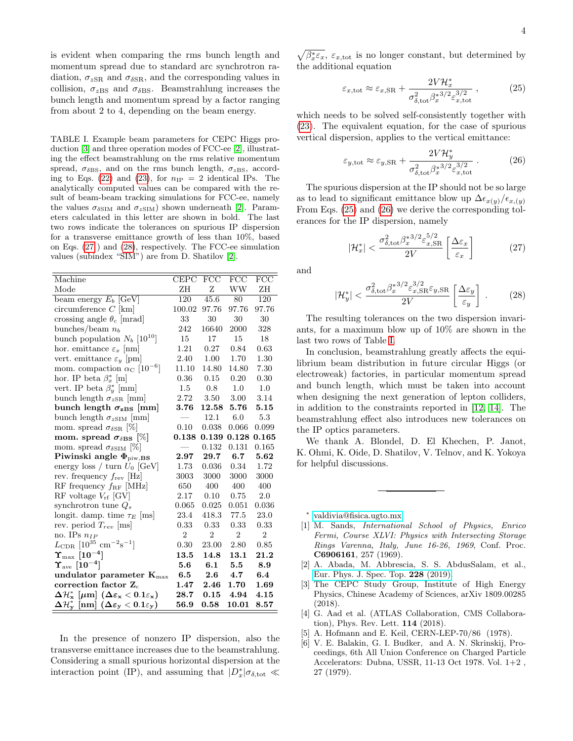is evident when comparing the rms bunch length and momentum spread due to standard arc synchrotron radiation,  $\sigma_{zSR}$  and  $\sigma_{\delta SR}$ , and the corresponding values in collision,  $\sigma_{zBS}$  and  $\sigma_{\delta BS}$ . Beamstrahlung increases the bunch length and momentum spread by a factor ranging from about 2 to 4, depending on the beam energy.

<span id="page-3-6"></span>TABLE I. Example beam parameters for CEPC Higgs production [\[3\]](#page-3-3) and three operation modes of FCC-ee [\[2\]](#page-3-2), illustrating the effect beamstrahlung on the rms relative momentum spread,  $\sigma_{\delta BS}$ , and on the rms bunch length,  $\sigma_{zBS}$ , accord-ing to Eqs. [\(22\)](#page-2-3) and [\(23\)](#page-2-4), for  $n_{\text{IP}} = 2$  identical IPs. The analytically computed values can be compared with the result of beam-beam tracking simulations for FCC-ee, namely the values  $\sigma_{\delta \text{SIM}}$  and  $\sigma_{z\text{SIM}}$ ) shown underneath [\[2\]](#page-3-2). Parameters calculated in this letter are shown in bold. The last two rows indicate the tolerances on spurious IP dispersion for a transverse emittance growth of less than 10%, based on Eqs. [\(27](#page-3-7) ) and [\(28\)](#page-3-8), respectively. The FCC-ee simulation values (subindex "SIM") are from D. Shatilov [\[2\]](#page-3-2).

| Machine                                                                                                                     | <b>CEPC</b>    | $\overline{FCC}$ | $\overline{\text{FCC}}$ | FCC            |
|-----------------------------------------------------------------------------------------------------------------------------|----------------|------------------|-------------------------|----------------|
| Mode                                                                                                                        | ZΗ             | Z                | WW                      | ZΗ             |
| beam energy $E_b$ [GeV]                                                                                                     | 120            | 45.6             | 80                      | 120            |
| circumference $C$ [km]                                                                                                      | 100.02         | 97.76            | 97.76                   | 97.76          |
| crossing angle $\theta_c$ [mrad]                                                                                            | 33             | 30               | 30                      | 30             |
| bunches/beam $n_b$                                                                                                          | 242            | 16640            | 2000                    | 328            |
| bunch population $N_b$ [10 <sup>10</sup> ]                                                                                  | 15             | 17               | 15                      | 18             |
| hor. emittance $\varepsilon_x$ [nm]                                                                                         | 1.21           | 0.27             | 0.84                    | 0.63           |
| vert. emittance $\varepsilon_y$ [pm]                                                                                        | 2.40           | 1.00             | 1.70                    | 1.30           |
| mom. compaction $\alpha_{\rm C}$ [10 <sup>-6</sup> ]                                                                        | 11.10          | 14.80            | 14.80                   | 7.30           |
| hor. IP beta $\beta_x^*$ [m]                                                                                                | 0.36           | 0.15             | 0.20                    | 0.30           |
| vert. IP beta $\beta_u^*$ [mm]                                                                                              | $1.5\,$        | 0.8              | $1.0\,$                 | 1.0            |
| bunch length $\sigma_{zSR}$ [mm]                                                                                            | 2.72           | 3.50             | 3.00                    | 3.14           |
| bunch length $\sigma_{zBS}$ [mm]                                                                                            | 3.76           | 12.58            | 5.76                    | 5.15           |
| bunch length $\sigma_{z}$ sim [mm]                                                                                          |                | 12.1             | 6.0                     | $5.3\,$        |
| mom. spread $\sigma_{\delta SR}$ [%]                                                                                        | 0.10           | 0.038            | 0.066                   | 0.099          |
| mom. spread $\sigma_{\delta \rm BS}$ [%]                                                                                    | 0.138          | 0.139            | 0.128                   | 0.165          |
| mom. spread $\sigma_{\delta \text{SIM}}$ [%]                                                                                |                | 0.132            | 0.131                   | 0.165          |
| Piwinski angle $\Phi_{\text{piw,BS}}$                                                                                       | 2.97           | 29.7             | 6.7                     | 5.62           |
| energy loss / turn $U_0$ [GeV]                                                                                              | 1.73           | 0.036            | 0.34                    | 1.72           |
| rev. frequency $f_{rev}$ [Hz]                                                                                               | 3003           | 3000             | 3000                    | 3000           |
| RF frequency $f_{\rm RF}$ [MHz]                                                                                             | 650            | 400              | 400                     | 400            |
| RF voltage $V_{\rm rf}$ [GV]                                                                                                | 2.17           | $0.10\,$         | 0.75                    | $2.0\,$        |
| synchrotron tune $Q_s$                                                                                                      | 0.065          | 0.025            | 0.051                   | 0.036          |
| longit. damp. time $\tau_E$ [ms]                                                                                            | 23.4           | 418.3            | 77.5                    | 23.0           |
| rev. period $T_{rev}$ [ms]                                                                                                  | 0.33           | 0.33             | 0.33                    | 0.33           |
| no. IPs $n_{IP}$                                                                                                            | $\overline{2}$ | $\overline{2}$   | $\overline{2}$          | $\overline{2}$ |
| $L_{\text{CDR}}$ [10 <sup>35</sup> cm <sup>-2</sup> s <sup>-1</sup> ]                                                       | 0.30           | 23.00            | 2.80                    | 0.85           |
| $\Upsilon_{\rm max} \; [10^{-4}]$                                                                                           | 13.5           | 14.8             | 13.1                    | 21.2           |
| $\Upsilon_{\rm ave}\;[10^{-4}]$                                                                                             | 5.6            | 6.1              | 5.5                     | 8.9            |
| undulator parameter $K_{\text{max}}$                                                                                        | 6.5            | $2.6\,$          | 4.7                     | 6.4            |
| correction factor $Z_c$                                                                                                     | 1.47           | 2.46             | 1.70                    | 1.69           |
| $\Delta \mathcal{H}^*_\mathbf{x} \; [\mu \mathrm{m}] \; (\Delta \varepsilon_\mathbf{x} < 0.1 \varepsilon_\mathbf{x})$       | 28.7           | $\bf 0.15$       | 4.94                    | 4.15           |
| $\Delta \mathcal{H}^*_\mathbf{v} \; [\mathbf{n}\mathbf{m}] \; (\Delta \varepsilon_\mathbf{y} < 0.1 \varepsilon_\mathbf{y})$ | 56.9           | 0.58             | 10.01                   | 8.57           |

In the presence of nonzero IP dispersion, also the transverse emittance increases due to the beamstrahlung. Considering a small spurious horizontal dispersion at the interaction point (IP), and assuming that  $|D_x^*|\sigma_{\delta,\text{tot}} \ll$ 

 $\sqrt{\beta_x^* \varepsilon_x}$ ,  $\varepsilon_{x,\text{tot}}$  is no longer constant, but determined by the additional equation

<span id="page-3-9"></span>
$$
\varepsilon_{x,\text{tot}} \approx \varepsilon_{x,\text{SR}} + \frac{2V\mathcal{H}_x^*}{\sigma_{\delta,\text{tot}}^2 \beta_x^{*3/2} \varepsilon_{x,\text{tot}}^{3/2}},\tag{25}
$$

which needs to be solved self-consistently together with [\(23\)](#page-2-4). The equivalent equation, for the case of spurious vertical dispersion, applies to the vertical emittance:

<span id="page-3-10"></span>
$$
\varepsilon_{y,\text{tot}} \approx \varepsilon_{y,\text{SR}} + \frac{2V\mathcal{H}_y^*}{\sigma_{\delta,\text{tot}}^2 \beta_x^{*3/2} \varepsilon_{x,\text{tot}}^{3/2}} \,. \tag{26}
$$

The spurious dispersion at the IP should not be so large as to lead to significant emittance blow up  $\Delta \epsilon_{x(y)}/\epsilon_{x,(y)}$ From Eqs. [\(25\)](#page-3-9) and [\(26\)](#page-3-10) we derive the corresponding tolerances for the IP dispersion, namely

<span id="page-3-7"></span>
$$
|\mathcal{H}_x^*| < \frac{\sigma_{\delta, \text{tot}}^2 \beta_x^{*3/2} \varepsilon_{x, \text{SR}}^{5/2}}{2V} \left[ \frac{\Delta \varepsilon_x}{\varepsilon_x} \right] \tag{27}
$$

and

<span id="page-3-8"></span>
$$
|\mathcal{H}_y^*| < \frac{\sigma_{\delta, \text{tot}}^2 \beta_x^{*3/2} \varepsilon_{x, \text{SR}}^{3/2} \varepsilon_{y, \text{SR}}^{3/2}}{2V} \left[ \frac{\Delta \varepsilon_y}{\varepsilon_y} \right] \,. \tag{28}
$$

The resulting tolerances on the two dispersion invariants, for a maximum blow up of 10% are shown in the last two rows of Table [I.](#page-3-6)

In conclusion, beamstrahlung greatly affects the equilibrium beam distribution in future circular Higgs (or electroweak) factories, in particular momentum spread and bunch length, which must be taken into account when designing the next generation of lepton colliders, in addition to the constraints reported in [\[12,](#page-4-1) [14\]](#page-4-3). The beamstrahlung effect also introduces new tolerances on the IP optics parameters.

We thank A. Blondel, D. El Khechen, P. Janot, K. Ohmi, K. Oide, D. Shatilov, V. Telnov, and K. Yokoya for helpful discussions.

<span id="page-3-0"></span>∗ [valdivia@fisica.ugto.mx](mailto:valdivia@fisica.ugto.mx)

- <span id="page-3-1"></span>[1] M. Sands, International School of Physics, Enrico Fermi, Course XLVI: Physics with Intersecting Storage Rings Varenna, Italy, June 16-26, 1969, Conf. Proc. C6906161, 257 (1969).
- <span id="page-3-2"></span>[2] A. Abada, M. Abbrescia, S. S. AbdusSalam, et al., [Eur. Phys. J. Spec. Top.](https://doi.org/10.1140/epjst/e2019-900045-4) 228 (2019).
- <span id="page-3-3"></span>[3] The CEPC Study Group, Institute of High Energy Physics, Chinese Academy of Sciences, arXiv 1809.00285 (2018).
- <span id="page-3-4"></span>[4] G. Aad et al. (ATLAS Collaboration, CMS Collaboration), Phys. Rev. Lett. 114 (2018).
- <span id="page-3-5"></span>[5] A. Hofmann and E. Keil, CERN-LEP-70/86 (1978).
- [6] V. E. Balakin, G. I. Budker, and A. N. Skrinskij, Proceedings, 6th All Union Conference on Charged Particle Accelerators: Dubna, USSR, 11-13 Oct 1978. Vol. 1+2 , 27 (1979).